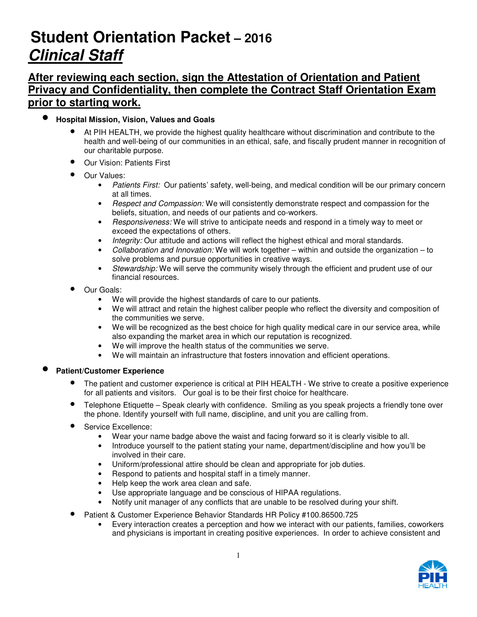# **Student Orientation Packet – 2016 Clinical Staff**

# **After reviewing each section, sign the Attestation of Orientation and Patient Privacy and Confidentiality, then complete the Contract Staff Orientation Exam prior to starting work.**

- **Hospital Mission, Vision, Values and Goals** 
	- At PIH HEALTH, we provide the highest quality healthcare without discrimination and contribute to the health and well-being of our communities in an ethical, safe, and fiscally prudent manner in recognition of our charitable purpose.
	- Our Vision: Patients First
	- Our Values:
		- Patients First: Our patients' safety, well-being, and medical condition will be our primary concern at all times.
		- Respect and Compassion: We will consistently demonstrate respect and compassion for the beliefs, situation, and needs of our patients and co-workers.
		- Responsiveness: We will strive to anticipate needs and respond in a timely way to meet or exceed the expectations of others.
		- Integrity: Our attitude and actions will reflect the highest ethical and moral standards.
		- Collaboration and Innovation: We will work together within and outside the organization to solve problems and pursue opportunities in creative ways.
		- Stewardship: We will serve the community wisely through the efficient and prudent use of our financial resources.
	- Our Goals:
		- We will provide the highest standards of care to our patients.
		- We will attract and retain the highest caliber people who reflect the diversity and composition of the communities we serve.
		- We will be recognized as the best choice for high quality medical care in our service area, while also expanding the market area in which our reputation is recognized.
		- We will improve the health status of the communities we serve.
		- We will maintain an infrastructure that fosters innovation and efficient operations.

### • **Patient/Customer Experience**

- The patient and customer experience is critical at PIH HEALTH We strive to create a positive experience for all patients and visitors. Our goal is to be their first choice for healthcare.
- Telephone Etiquette Speak clearly with confidence. Smiling as you speak projects a friendly tone over the phone. Identify yourself with full name, discipline, and unit you are calling from.
- Service Excellence:
	- Wear your name badge above the waist and facing forward so it is clearly visible to all.
	- Introduce yourself to the patient stating your name, department/discipline and how you'll be involved in their care.
	- Uniform/professional attire should be clean and appropriate for job duties.
	- Respond to patients and hospital staff in a timely manner.
	- Help keep the work area clean and safe.
	- Use appropriate language and be conscious of HIPAA regulations.
	- Notify unit manager of any conflicts that are unable to be resolved during your shift.
- Patient & Customer Experience Behavior Standards HR Policy #100.86500.725
	- Every interaction creates a perception and how we interact with our patients, families, coworkers and physicians is important in creating positive experiences. In order to achieve consistent and

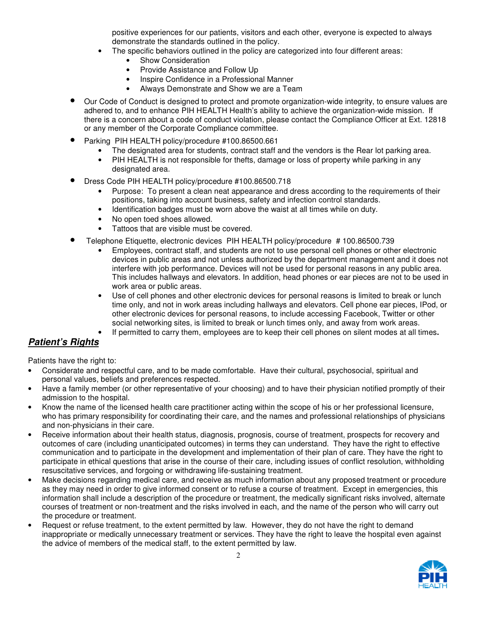positive experiences for our patients, visitors and each other, everyone is expected to always demonstrate the standards outlined in the policy.

- The specific behaviors outlined in the policy are categorized into four different areas:
	- Show Consideration
	- Provide Assistance and Follow Up
	- Inspire Confidence in a Professional Manner
	- Always Demonstrate and Show we are a Team
- Our Code of Conduct is designed to protect and promote organization-wide integrity, to ensure values are adhered to, and to enhance PIH HEALTH Health's ability to achieve the organization-wide mission. If there is a concern about a code of conduct violation, please contact the Compliance Officer at Ext. 12818 or any member of the Corporate Compliance committee.
- Parking PIH HEALTH policy/procedure #100.86500.661
	- The designated area for students, contract staff and the vendors is the Rear lot parking area.
		- PIH HEALTH is not responsible for thefts, damage or loss of property while parking in any designated area.
- Dress Code PIH HEALTH policy/procedure #100.86500.718
	- Purpose: To present a clean neat appearance and dress according to the requirements of their positions, taking into account business, safety and infection control standards.
	- Identification badges must be worn above the waist at all times while on duty.
	- No open toed shoes allowed.
	- Tattoos that are visible must be covered.
- Telephone Etiquette, electronic devices PIH HEALTH policy/procedure # 100.86500.739
	- Employees, contract staff, and students are not to use personal cell phones or other electronic devices in public areas and not unless authorized by the department management and it does not interfere with job performance. Devices will not be used for personal reasons in any public area. This includes hallways and elevators. In addition, head phones or ear pieces are not to be used in work area or public areas.
	- Use of cell phones and other electronic devices for personal reasons is limited to break or lunch time only, and not in work areas including hallways and elevators. Cell phone ear pieces, IPod, or other electronic devices for personal reasons, to include accessing Facebook, Twitter or other social networking sites, is limited to break or lunch times only, and away from work areas.
		- If permitted to carry them, employees are to keep their cell phones on silent modes at all times**.**

# **Patient's Rights**

Patients have the right to:

- Considerate and respectful care, and to be made comfortable. Have their cultural, psychosocial, spiritual and personal values, beliefs and preferences respected.
- Have a family member (or other representative of your choosing) and to have their physician notified promptly of their admission to the hospital.
- Know the name of the licensed health care practitioner acting within the scope of his or her professional licensure, who has primary responsibility for coordinating their care, and the names and professional relationships of physicians and non-physicians in their care.
- Receive information about their health status, diagnosis, prognosis, course of treatment, prospects for recovery and outcomes of care (including unanticipated outcomes) in terms they can understand. They have the right to effective communication and to participate in the development and implementation of their plan of care. They have the right to participate in ethical questions that arise in the course of their care, including issues of conflict resolution, withholding resuscitative services, and forgoing or withdrawing life-sustaining treatment.
- Make decisions regarding medical care, and receive as much information about any proposed treatment or procedure as they may need in order to give informed consent or to refuse a course of treatment. Except in emergencies, this information shall include a description of the procedure or treatment, the medically significant risks involved, alternate courses of treatment or non-treatment and the risks involved in each, and the name of the person who will carry out the procedure or treatment.
- Request or refuse treatment, to the extent permitted by law. However, they do not have the right to demand inappropriate or medically unnecessary treatment or services. They have the right to leave the hospital even against the advice of members of the medical staff, to the extent permitted by law.

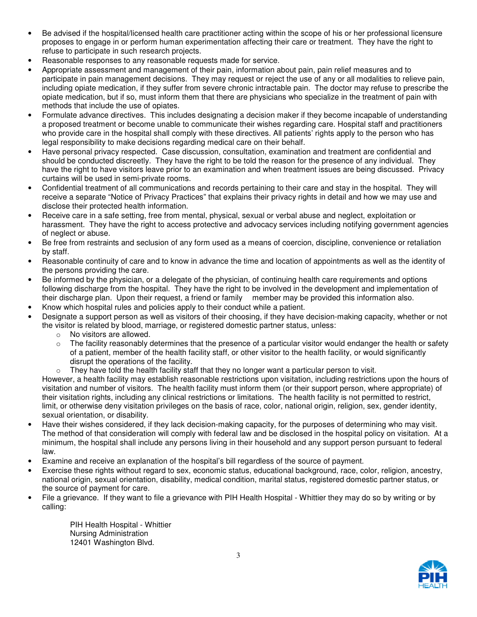- Be advised if the hospital/licensed health care practitioner acting within the scope of his or her professional licensure proposes to engage in or perform human experimentation affecting their care or treatment. They have the right to refuse to participate in such research projects.
- Reasonable responses to any reasonable requests made for service.
- Appropriate assessment and management of their pain, information about pain, pain relief measures and to participate in pain management decisions. They may request or reject the use of any or all modalities to relieve pain, including opiate medication, if they suffer from severe chronic intractable pain. The doctor may refuse to prescribe the opiate medication, but if so, must inform them that there are physicians who specialize in the treatment of pain with methods that include the use of opiates.
- Formulate advance directives. This includes designating a decision maker if they become incapable of understanding a proposed treatment or become unable to communicate their wishes regarding care. Hospital staff and practitioners who provide care in the hospital shall comply with these directives. All patients' rights apply to the person who has legal responsibility to make decisions regarding medical care on their behalf.
- Have personal privacy respected. Case discussion, consultation, examination and treatment are confidential and should be conducted discreetly. They have the right to be told the reason for the presence of any individual. They have the right to have visitors leave prior to an examination and when treatment issues are being discussed. Privacy curtains will be used in semi-private rooms.
- Confidential treatment of all communications and records pertaining to their care and stay in the hospital. They will receive a separate "Notice of Privacy Practices" that explains their privacy rights in detail and how we may use and disclose their protected health information.
- Receive care in a safe setting, free from mental, physical, sexual or verbal abuse and neglect, exploitation or harassment. They have the right to access protective and advocacy services including notifying government agencies of neglect or abuse.
- Be free from restraints and seclusion of any form used as a means of coercion, discipline, convenience or retaliation by staff.
- Reasonable continuity of care and to know in advance the time and location of appointments as well as the identity of the persons providing the care.
- Be informed by the physician, or a delegate of the physician, of continuing health care requirements and options following discharge from the hospital. They have the right to be involved in the development and implementation of their discharge plan. Upon their request, a friend or family member may be provided this information also.
- Know which hospital rules and policies apply to their conduct while a patient.
- Designate a support person as well as visitors of their choosing, if they have decision-making capacity, whether or not the visitor is related by blood, marriage, or registered domestic partner status, unless:
	- o No visitors are allowed.
	- The facility reasonably determines that the presence of a particular visitor would endanger the health or safety of a patient, member of the health facility staff, or other visitor to the health facility, or would significantly disrupt the operations of the facility.
	- They have told the health facility staff that they no longer want a particular person to visit.

However, a health facility may establish reasonable restrictions upon visitation, including restrictions upon the hours of visitation and number of visitors. The health facility must inform them (or their support person, where appropriate) of their visitation rights, including any clinical restrictions or limitations. The health facility is not permitted to restrict, limit, or otherwise deny visitation privileges on the basis of race, color, national origin, religion, sex, gender identity, sexual orientation, or disability.

- Have their wishes considered, if they lack decision-making capacity, for the purposes of determining who may visit. The method of that consideration will comply with federal law and be disclosed in the hospital policy on visitation. At a minimum, the hospital shall include any persons living in their household and any support person pursuant to federal law.
- Examine and receive an explanation of the hospital's bill regardless of the source of payment.
- Exercise these rights without regard to sex, economic status, educational background, race, color, religion, ancestry, national origin, sexual orientation, disability, medical condition, marital status, registered domestic partner status, or the source of payment for care.
- File a grievance. If they want to file a grievance with PIH Health Hospital Whittier they may do so by writing or by calling:

PIH Health Hospital - Whittier Nursing Administration 12401 Washington Blvd.

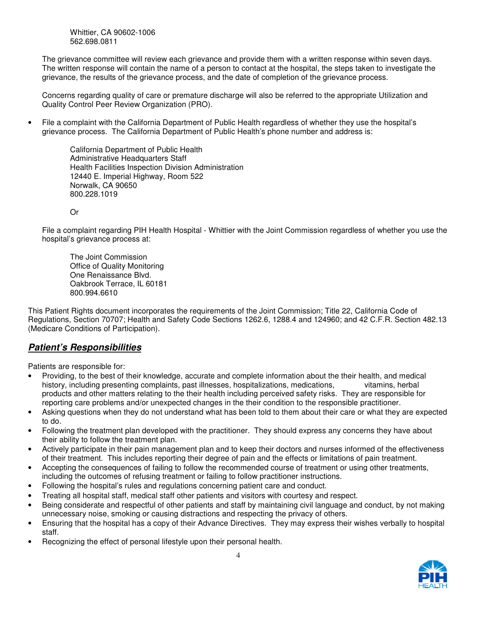Whittier, CA 90602-1006 562.698.0811

The grievance committee will review each grievance and provide them with a written response within seven days. The written response will contain the name of a person to contact at the hospital, the steps taken to investigate the grievance, the results of the grievance process, and the date of completion of the grievance process.

Concerns regarding quality of care or premature discharge will also be referred to the appropriate Utilization and Quality Control Peer Review Organization (PRO).

• File a complaint with the California Department of Public Health regardless of whether they use the hospital's grievance process. The California Department of Public Health's phone number and address is:

> California Department of Public Health Administrative Headquarters Staff Health Facilities Inspection Division Administration 12440 E. Imperial Highway, Room 522 Norwalk, CA 90650 800.228.1019

Or

File a complaint regarding PIH Health Hospital - Whittier with the Joint Commission regardless of whether you use the hospital's grievance process at:

The Joint Commission Office of Quality Monitoring One Renaissance Blvd. Oakbrook Terrace, IL 60181 800.994.6610

This Patient Rights document incorporates the requirements of the Joint Commission; Title 22, California Code of Regulations, Section 70707; Health and Safety Code Sections 1262.6, 1288.4 and 124960; and 42 C.F.R. Section 482.13 (Medicare Conditions of Participation).

## **Patient's Responsibilities**

Patients are responsible for:

- Providing, to the best of their knowledge, accurate and complete information about the their health, and medical history, including presenting complaints, past illnesses, hospitalizations, medications, vitamins, herbal products and other matters relating to the their health including perceived safety risks. They are responsible for reporting care problems and/or unexpected changes in the their condition to the responsible practitioner.
- Asking questions when they do not understand what has been told to them about their care or what they are expected to do.
- Following the treatment plan developed with the practitioner. They should express any concerns they have about their ability to follow the treatment plan.
- Actively participate in their pain management plan and to keep their doctors and nurses informed of the effectiveness of their treatment. This includes reporting their degree of pain and the effects or limitations of pain treatment.
- Accepting the consequences of failing to follow the recommended course of treatment or using other treatments, including the outcomes of refusing treatment or failing to follow practitioner instructions.
- Following the hospital's rules and regulations concerning patient care and conduct.
- Treating all hospital staff, medical staff other patients and visitors with courtesy and respect.
- Being considerate and respectful of other patients and staff by maintaining civil language and conduct, by not making unnecessary noise, smoking or causing distractions and respecting the privacy of others.
- Ensuring that the hospital has a copy of their Advance Directives. They may express their wishes verbally to hospital staff.
- Recognizing the effect of personal lifestyle upon their personal health.

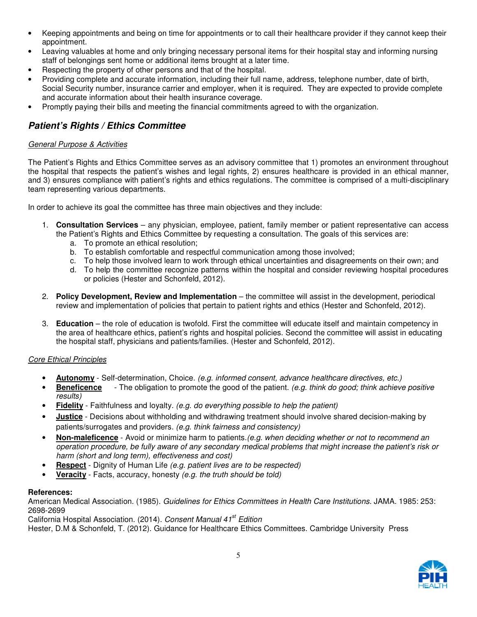- Keeping appointments and being on time for appointments or to call their healthcare provider if they cannot keep their appointment.
- Leaving valuables at home and only bringing necessary personal items for their hospital stay and informing nursing staff of belongings sent home or additional items brought at a later time.
- Respecting the property of other persons and that of the hospital.
- Providing complete and accurate information, including their full name, address, telephone number, date of birth, Social Security number, insurance carrier and employer, when it is required. They are expected to provide complete and accurate information about their health insurance coverage.
- Promptly paying their bills and meeting the financial commitments agreed to with the organization.

# **Patient's Rights / Ethics Committee**

### General Purpose & Activities

The Patient's Rights and Ethics Committee serves as an advisory committee that 1) promotes an environment throughout the hospital that respects the patient's wishes and legal rights, 2) ensures healthcare is provided in an ethical manner, and 3) ensures compliance with patient's rights and ethics regulations. The committee is comprised of a multi-disciplinary team representing various departments.

In order to achieve its goal the committee has three main objectives and they include:

- 1. **Consultation Services** any physician, employee, patient, family member or patient representative can access the Patient's Rights and Ethics Committee by requesting a consultation. The goals of this services are:
	- a. To promote an ethical resolution;
	- b. To establish comfortable and respectful communication among those involved;
	- c. To help those involved learn to work through ethical uncertainties and disagreements on their own; and
	- d. To help the committee recognize patterns within the hospital and consider reviewing hospital procedures or policies (Hester and Schonfeld, 2012).
- 2. **Policy Development, Review and Implementation** the committee will assist in the development, periodical review and implementation of policies that pertain to patient rights and ethics (Hester and Schonfeld, 2012).
- 3. **Education** the role of education is twofold. First the committee will educate itself and maintain competency in the area of healthcare ethics, patient's rights and hospital policies. Second the committee will assist in educating the hospital staff, physicians and patients/families. (Hester and Schonfeld, 2012).

### Core Ethical Principles

- **Autonomy** Self-determination, Choice. (e.g. informed consent, advance healthcare directives, etc.)
- **Beneficence** The obligation to promote the good of the patient. (e.g. think do good; think achieve positive results)
- **Fidelity** Faithfulness and loyalty. (e.g. do everything possible to help the patient)
- **Justice** Decisions about withholding and withdrawing treatment should involve shared decision-making by patients/surrogates and providers. (e.g. think fairness and consistency)
- **Non-maleficence**  Avoid or minimize harm to patients.(e.g. when deciding whether or not to recommend an operation procedure, be fully aware of any secondary medical problems that might increase the patient's risk or harm (short and long term), effectiveness and cost)
- **Respect** Dignity of Human Life (e.g. patient lives are to be respected)
- **Veracity** Facts, accuracy, honesty (e.g. the truth should be told)

### **References:**

American Medical Association. (1985). Guidelines for Ethics Committees in Health Care Institutions. JAMA. 1985: 253: 2698-2699

California Hospital Association. (2014). Consent Manual 41<sup>st</sup> Edition

Hester, D.M & Schonfeld, T. (2012). Guidance for Healthcare Ethics Committees. Cambridge University Press

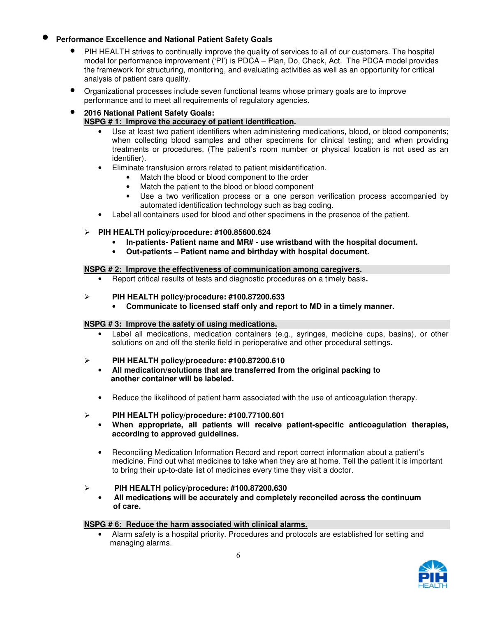### • **Performance Excellence and National Patient Safety Goals**

- PIH HEALTH strives to continually improve the quality of services to all of our customers. The hospital model for performance improvement ('PI') is PDCA – Plan, Do, Check, Act. The PDCA model provides the framework for structuring, monitoring, and evaluating activities as well as an opportunity for critical analysis of patient care quality.
- Organizational processes include seven functional teams whose primary goals are to improve performance and to meet all requirements of regulatory agencies.

### • **2016 National Patient Safety Goals: NSPG # 1: Improve the accuracy of patient identification.**

- Use at least two patient identifiers when administering medications, blood, or blood components; when collecting blood samples and other specimens for clinical testing; and when providing treatments or procedures. (The patient's room number or physical location is not used as an identifier).
- Eliminate transfusion errors related to patient misidentification.
	- Match the blood or blood component to the order
	- Match the patient to the blood or blood component
	- Use a two verification process or a one person verification process accompanied by automated identification technology such as bag coding.
- Label all containers used for blood and other specimens in the presence of the patient.

### **PIH HEALTH policy/procedure: #100.85600.624**

- **In-patients- Patient name and MR# use wristband with the hospital document.**
- **Out-patients Patient name and birthday with hospital document.**

### **NSPG # 2: Improve the effectiveness of communication among caregivers.**

• Report critical results of tests and diagnostic procedures on a timely basis**.** 

### **PIH HEALTH policy/procedure: #100.87200.633**

• **Communicate to licensed staff only and report to MD in a timely manner.** 

### **NSPG # 3: Improve the safety of using medications.**

Label all medications, medication containers (e.g., syringes, medicine cups, basins), or other solutions on and off the sterile field in perioperative and other procedural settings.

### **PIH HEALTH policy/procedure: #100.87200.610**

- **All medication/solutions that are transferred from the original packing to another container will be labeled.**
- Reduce the likelihood of patient harm associated with the use of anticoagulation therapy.

### **PIH HEALTH policy/procedure: #100.77100.601**

- **When appropriate, all patients will receive patient-specific anticoagulation therapies, according to approved guidelines.**
- Reconciling Medication Information Record and report correct information about a patient's medicine. Find out what medicines to take when they are at home. Tell the patient it is important to bring their up-to-date list of medicines every time they visit a doctor.

### **PIH HEALTH policy/procedure: #100.87200.630**

• **All medications will be accurately and completely reconciled across the continuum of care.** 

### **NSPG # 6: Reduce the harm associated with clinical alarms.**

• Alarm safety is a hospital priority. Procedures and protocols are established for setting and managing alarms.

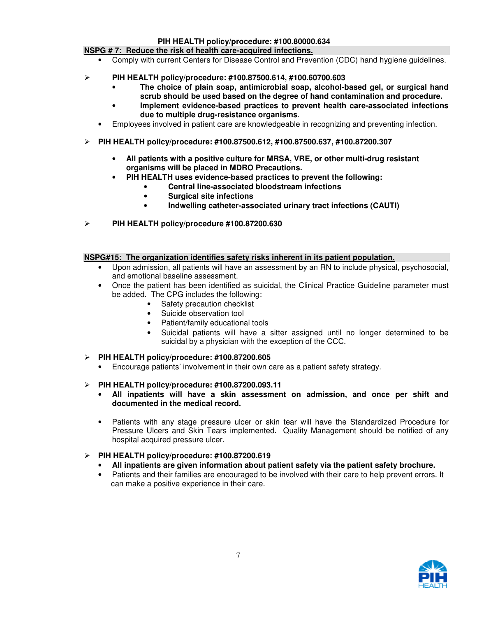#### **PIH HEALTH policy/procedure: #100.80000.634**

#### **NSPG # 7: Reduce the risk of health care-acquired infections.**

- Comply with current Centers for Disease Control and Prevention (CDC) hand hygiene guidelines.
- **PIH HEALTH policy/procedure: #100.87500.614, #100.60700.603** 
	- **The choice of plain soap, antimicrobial soap, alcohol-based gel, or surgical hand scrub should be used based on the degree of hand contamination and procedure.**
	- **Implement evidence-based practices to prevent health care-associated infections due to multiple drug-resistance organisms**.
	- Employees involved in patient care are knowledgeable in recognizing and preventing infection.
- **PIH HEALTH policy/procedure: #100.87500.612, #100.87500.637, #100.87200.307** 
	- **All patients with a positive culture for MRSA, VRE, or other multi-drug resistant organisms will be placed in MDRO Precautions.** 
		- **PIH HEALTH uses evidence-based practices to prevent the following:** 
			- **Central line-associated bloodstream infections** 
				- **Surgical site infections**
			- **Indwelling catheter-associated urinary tract infections (CAUTI)**
- **PIH HEALTH policy/procedure #100.87200.630**

#### **NSPG#15: The organization identifies safety risks inherent in its patient population.**

- Upon admission, all patients will have an assessment by an RN to include physical, psychosocial, and emotional baseline assessment.
- Once the patient has been identified as suicidal, the Clinical Practice Guideline parameter must be added. The CPG includes the following:
	- Safety precaution checklist
	- Suicide observation tool
	- Patient/family educational tools
	- Suicidal patients will have a sitter assigned until no longer determined to be suicidal by a physician with the exception of the CCC.
- **PIH HEALTH policy/procedure: #100.87200.605** 
	- Encourage patients' involvement in their own care as a patient safety strategy.

### **PIH HEALTH policy/procedure: #100.87200.093.11**

- **All inpatients will have a skin assessment on admission, and once per shift and documented in the medical record.**
- Patients with any stage pressure ulcer or skin tear will have the Standardized Procedure for Pressure Ulcers and Skin Tears implemented. Quality Management should be notified of any hospital acquired pressure ulcer.

### **PIH HEALTH policy/procedure: #100.87200.619**

- **All inpatients are given information about patient safety via the patient safety brochure.**
- Patients and their families are encouraged to be involved with their care to help prevent errors. It can make a positive experience in their care.

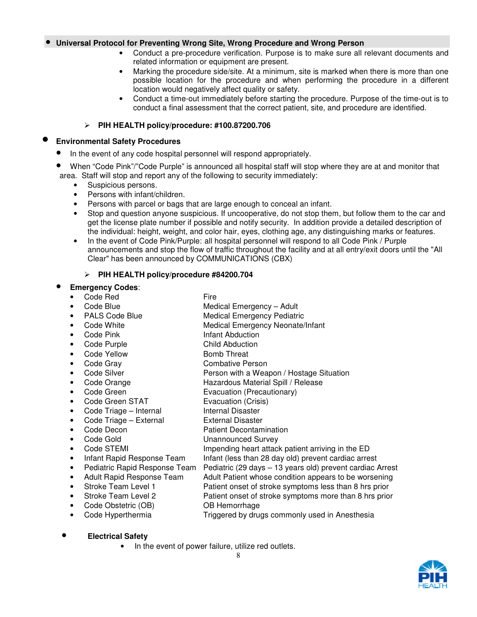#### • **Universal Protocol for Preventing Wrong Site, Wrong Procedure and Wrong Person**

- Conduct a pre-procedure verification. Purpose is to make sure all relevant documents and related information or equipment are present.
- Marking the procedure side/site. At a minimum, site is marked when there is more than one possible location for the procedure and when performing the procedure in a different location would negatively affect quality or safety.
- Conduct a time-out immediately before starting the procedure. Purpose of the time-out is to conduct a final assessment that the correct patient, site, and procedure are identified.

### **PIH HEALTH policy/procedure: #100.87200.706**

#### • **Environmental Safety Procedures**

- In the event of any code hospital personnel will respond appropriately.
- When "Code Pink"/"Code Purple" is announced all hospital staff will stop where they are at and monitor that area. Staff will stop and report any of the following to security immediately:
	- Suspicious persons.
	- Persons with infant/children.
	- Persons with parcel or bags that are large enough to conceal an infant.
	- Stop and question anyone suspicious. If uncooperative, do not stop them, but follow them to the car and get the license plate number if possible and notify security. In addition provide a detailed description of the individual: height, weight, and color hair, eyes, clothing age, any distinguishing marks or features.
	- In the event of Code Pink/Purple: all hospital personnel will respond to all Code Pink / Purple announcements and stop the flow of traffic throughout the facility and at all entry/exit doors until the "All Clear" has been announced by COMMUNICATIONS (CBX)

### **PIH HEALTH policy/procedure #84200.704**

### • **Emergency Codes**:

- Code Red Fire
	- Code Blue **Medical Emergency Adult**
- PALS Code Blue Medical Emergency Pediatric
	- Code White **Medical Emergency Neonate/Infant**
- **Code Pink Infant Abduction**
- Code Purple Child Abduction
- Code Yellow Bomb Threat
- 
- Code Gray Combative Person
- Code Silver **Person with a Weapon / Hostage Situation**
- Code Orange **Hazardous Material Spill / Release**
- Code Green Evacuation (Precautionary)
- Code Green STAT Evacuation (Crisis)
- Code Triage Internal Internal Disaster
- Code Triage External External Disaster
- **Code Decon Patient Decontamination**
- Code Gold **Unannounced Survey**
- 
- Infant Rapid Response Team Infant (less than 28 day old) prevent cardiac arrest
- Pediatric Rapid Response Team Pediatric (29 days 13 years old) prevent cardiac Arrest
- Adult Rapid Response Team Adult Patient whose condition appears to be worsening
- Stroke Team Level 1 **Patient onset of stroke symptoms less than 8 hrs prior**
- Stroke Team Level 2 Patient onset of stroke symptoms more than 8 hrs prior
- Code Obstetric (OB) **OB Hemorrhage** 
	- - Code Hyperthermia Triggered by drugs commonly used in Anesthesia

### • **Electrical Safety**

In the event of power failure, utilize red outlets.

• Code STEMI **Impending heart attack patient arriving in the ED**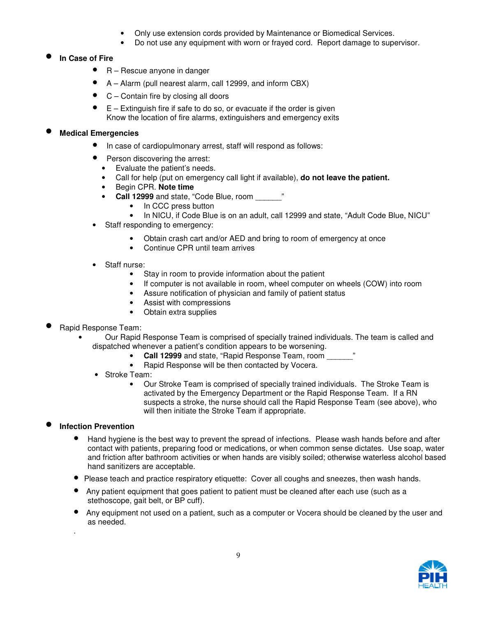- Only use extension cords provided by Maintenance or Biomedical Services.
- Do not use any equipment with worn or frayed cord. Report damage to supervisor.

### • **In Case of Fire**

- R Rescue anyone in danger
- A Alarm (pull nearest alarm, call 12999, and inform CBX)
- $C$  Contain fire by closing all doors
- $E -$  Extinguish fire if safe to do so, or evacuate if the order is given Know the location of fire alarms, extinguishers and emergency exits

### • **Medical Emergencies**

- In case of cardiopulmonary arrest, staff will respond as follows:
- Person discovering the arrest:
	- Evaluate the patient's needs.
	- Call for help (put on emergency call light if available), **do not leave the patient.**
	- Begin CPR. **Note time**
	- **Call 12999** and state, "Code Blue, room \_\_\_\_\_\_"
		- In CCC press button
		- In NICU, if Code Blue is on an adult, call 12999 and state, "Adult Code Blue, NICU"
- Staff responding to emergency:
	- Obtain crash cart and/or AED and bring to room of emergency at once
	- Continue CPR until team arrives
- Staff nurse:
	- Stay in room to provide information about the patient
	- If computer is not available in room, wheel computer on wheels (COW) into room
	- Assure notification of physician and family of patient status
	- Assist with compressions
	- Obtain extra supplies
- Rapid Response Team:
	- Our Rapid Response Team is comprised of specially trained individuals. The team is called and dispatched whenever a patient's condition appears to be worsening.
		- **Call 12999** and state, "Rapid Response Team, room
		- Rapid Response will be then contacted by Vocera.
		- Stroke Team:
			- Our Stroke Team is comprised of specially trained individuals. The Stroke Team is activated by the Emergency Department or the Rapid Response Team. If a RN suspects a stroke, the nurse should call the Rapid Response Team (see above), who will then initiate the Stroke Team if appropriate.

### • **Infection Prevention**

.

- Hand hygiene is the best way to prevent the spread of infections. Please wash hands before and after contact with patients, preparing food or medications, or when common sense dictates. Use soap, water and friction after bathroom activities or when hands are visibly soiled; otherwise waterless alcohol based hand sanitizers are acceptable.
- Please teach and practice respiratory etiquette: Cover all coughs and sneezes, then wash hands.
- Any patient equipment that goes patient to patient must be cleaned after each use (such as a stethoscope, gait belt, or BP cuff).
- Any equipment not used on a patient, such as a computer or Vocera should be cleaned by the user and as needed.

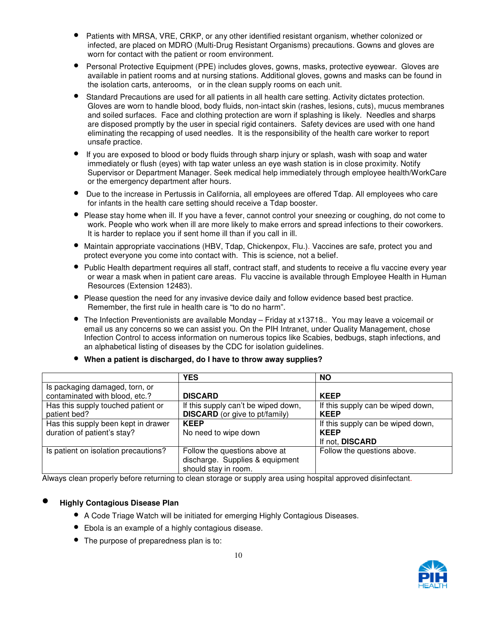- Patients with MRSA, VRE, CRKP, or any other identified resistant organism, whether colonized or infected, are placed on MDRO (Multi-Drug Resistant Organisms) precautions. Gowns and gloves are worn for contact with the patient or room environment.
- Personal Protective Equipment (PPE) includes gloves, gowns, masks, protective eyewear. Gloves are available in patient rooms and at nursing stations. Additional gloves, gowns and masks can be found in the isolation carts, anterooms, or in the clean supply rooms on each unit.
- Standard Precautions are used for all patients in all health care setting. Activity dictates protection. Gloves are worn to handle blood, body fluids, non-intact skin (rashes, lesions, cuts), mucus membranes and soiled surfaces. Face and clothing protection are worn if splashing is likely. Needles and sharps are disposed promptly by the user in special rigid containers. Safety devices are used with one hand eliminating the recapping of used needles. It is the responsibility of the health care worker to report unsafe practice.
- If you are exposed to blood or body fluids through sharp injury or splash, wash with soap and water immediately or flush (eyes) with tap water unless an eye wash station is in close proximity. Notify Supervisor or Department Manager. Seek medical help immediately through employee health/WorkCare or the emergency department after hours.
- Due to the increase in Pertussis in California, all employees are offered Tdap. All employees who care for infants in the health care setting should receive a Tdap booster.
- Please stay home when ill. If you have a fever, cannot control your sneezing or coughing, do not come to work. People who work when ill are more likely to make errors and spread infections to their coworkers. It is harder to replace you if sent home ill than if you call in ill.
- Maintain appropriate vaccinations (HBV, Tdap, Chickenpox, Flu.). Vaccines are safe, protect you and protect everyone you come into contact with. This is science, not a belief.
- Public Health department requires all staff, contract staff, and students to receive a flu vaccine every year or wear a mask when in patient care areas. Flu vaccine is available through Employee Health in Human Resources (Extension 12483).
- Please question the need for any invasive device daily and follow evidence based best practice. Remember, the first rule in health care is "to do no harm".
- The Infection Preventionists are available Monday Friday at x13718.. You may leave a voicemail or email us any concerns so we can assist you. On the PIH Intranet, under Quality Management, chose Infection Control to access information on numerous topics like Scabies, bedbugs, staph infections, and an alphabetical listing of diseases by the CDC for isolation guidelines.

|                                      | <b>YES</b>                            | <b>NO</b>                         |
|--------------------------------------|---------------------------------------|-----------------------------------|
| Is packaging damaged, torn, or       |                                       |                                   |
| contaminated with blood, etc.?       | <b>DISCARD</b>                        | <b>KEEP</b>                       |
| Has this supply touched patient or   | If this supply can't be wiped down,   | If this supply can be wiped down, |
| patient bed?                         | <b>DISCARD</b> (or give to pt/family) | <b>KEEP</b>                       |
| Has this supply been kept in drawer  | <b>KEEP</b>                           | If this supply can be wiped down, |
| duration of patient's stay?          | No need to wipe down                  | <b>KEEP</b>                       |
|                                      |                                       | If not, DISCARD                   |
| Is patient on isolation precautions? | Follow the questions above at         | Follow the questions above.       |
|                                      | discharge. Supplies & equipment       |                                   |
|                                      | should stay in room.                  |                                   |

• **When a patient is discharged, do I have to throw away supplies?**

Always clean properly before returning to clean storage or supply area using hospital approved disinfectant.

### • **Highly Contagious Disease Plan**

- A Code Triage Watch will be initiated for emerging Highly Contagious Diseases.
- Ebola is an example of a highly contagious disease.
- The purpose of preparedness plan is to:

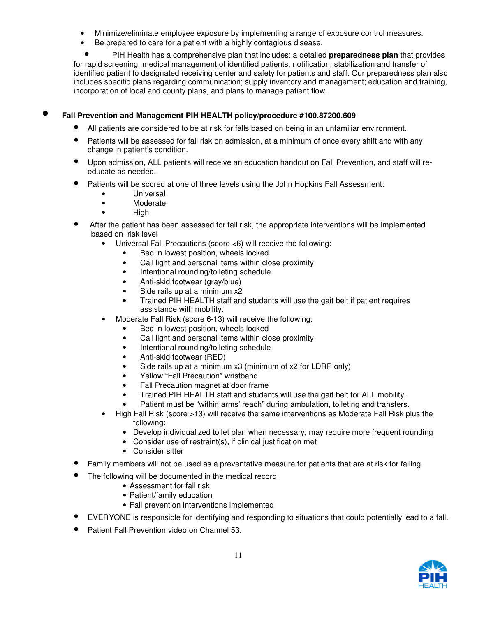- Minimize/eliminate employee exposure by implementing a range of exposure control measures.
- Be prepared to care for a patient with a highly contagious disease.

• PIH Health has a comprehensive plan that includes: a detailed **preparedness plan** that provides for rapid screening, medical management of identified patients, notification, stabilization and transfer of identified patient to designated receiving center and safety for patients and staff. Our preparedness plan also includes specific plans regarding communication; supply inventory and management; education and training, incorporation of local and county plans, and plans to manage patient flow.

### • **Fall Prevention and Management PIH HEALTH policy/procedure #100.87200.609**

- All patients are considered to be at risk for falls based on being in an unfamiliar environment.
- Patients will be assessed for fall risk on admission, at a minimum of once every shift and with any change in patient's condition.
- Upon admission, ALL patients will receive an education handout on Fall Prevention, and staff will reeducate as needed.
- Patients will be scored at one of three levels using the John Hopkins Fall Assessment:
	- Universal
	- Moderate
	- High
- After the patient has been assessed for fall risk, the appropriate interventions will be implemented based on risk level
	- Universal Fall Precautions (score <6) will receive the following:
		- Bed in lowest position, wheels locked
			- Call light and personal items within close proximity
			- Intentional rounding/toileting schedule
		- Anti-skid footwear (gray/blue)
		- Side rails up at a minimum x2
		- Trained PIH HEALTH staff and students will use the gait belt if patient requires assistance with mobility.
	- Moderate Fall Risk (score 6-13) will receive the following:
		- Bed in lowest position, wheels locked
		- Call light and personal items within close proximity
		- Intentional rounding/toileting schedule
		- Anti-skid footwear (RED)
		- Side rails up at a minimum x3 (minimum of x2 for LDRP only)
		- Yellow "Fall Precaution" wristband
		- Fall Precaution magnet at door frame
		- Trained PIH HEALTH staff and students will use the gait belt for ALL mobility.
		- Patient must be "within arms' reach" during ambulation, toileting and transfers.
	- High Fall Risk (score >13) will receive the same interventions as Moderate Fall Risk plus the following:
		- Develop individualized toilet plan when necessary, may require more frequent rounding
		- Consider use of restraint(s), if clinical justification met
		- Consider sitter
- Family members will not be used as a preventative measure for patients that are at risk for falling.
	- The following will be documented in the medical record:
		- Assessment for fall risk
		- Patient/family education
		- Fall prevention interventions implemented
- EVERYONE is responsible for identifying and responding to situations that could potentially lead to a fall.
- Patient Fall Prevention video on Channel 53.

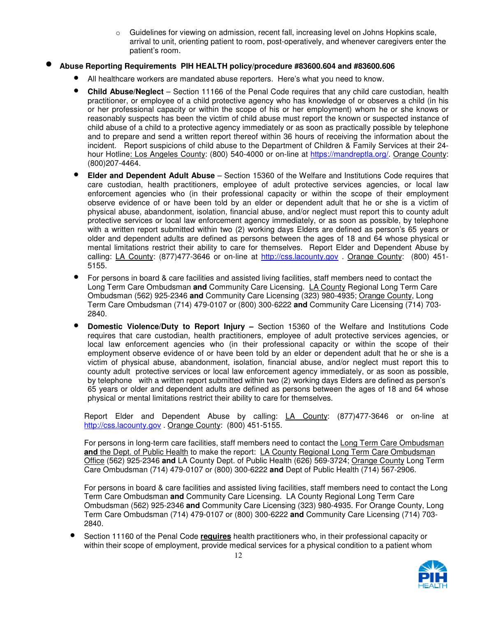Guidelines for viewing on admission, recent fall, increasing level on Johns Hopkins scale, arrival to unit, orienting patient to room, post-operatively, and whenever caregivers enter the patient's room.

### • **Abuse Reporting Requirements PIH HEALTH policy/procedure #83600.604 and #83600.606**

- All healthcare workers are mandated abuse reporters. Here's what you need to know.
- **Child Abuse/Neglect** Section 11166 of the Penal Code requires that any child care custodian, health practitioner, or employee of a child protective agency who has knowledge of or observes a child (in his or her professional capacity or within the scope of his or her employment) whom he or she knows or reasonably suspects has been the victim of child abuse must report the known or suspected instance of child abuse of a child to a protective agency immediately or as soon as practically possible by telephone and to prepare and send a written report thereof within 36 hours of receiving the information about the incident. Report suspicions of child abuse to the Department of Children & Family Services at their 24 hour Hotline: Los Angeles County: (800) 540-4000 or on-line at https://mandreptla.org/. Orange County: (800)207-4464.
- **Elder and Dependent Adult Abuse** Section 15360 of the Welfare and Institutions Code requires that care custodian, health practitioners, employee of adult protective services agencies, or local law enforcement agencies who (in their professional capacity or within the scope of their employment observe evidence of or have been told by an elder or dependent adult that he or she is a victim of physical abuse, abandonment, isolation, financial abuse, and/or neglect must report this to county adult protective services or local law enforcement agency immediately, or as soon as possible, by telephone with a written report submitted within two (2) working days Elders are defined as person's 65 years or older and dependent adults are defined as persons between the ages of 18 and 64 whose physical or mental limitations restrict their ability to care for themselves. Report Elder and Dependent Abuse by calling: LA County: (877)477-3646 or on-line at http://css.lacounty.gov . Orange County: (800) 451- 5155.
- For persons in board & care facilities and assisted living facilities, staff members need to contact the Long Term Care Ombudsman **and** Community Care Licensing. LA County Regional Long Term Care Ombudsman (562) 925-2346 **and** Community Care Licensing (323) 980-4935; Orange County, Long Term Care Ombudsman (714) 479-0107 or (800) 300-6222 **and** Community Care Licensing (714) 703- 2840.
- **Domestic Violence/Duty to Report Injury** Section 15360 of the Welfare and Institutions Code requires that care custodian, health practitioners, employee of adult protective services agencies, or local law enforcement agencies who (in their professional capacity or within the scope of their employment observe evidence of or have been told by an elder or dependent adult that he or she is a victim of physical abuse, abandonment, isolation, financial abuse, and/or neglect must report this to county adult protective services or local law enforcement agency immediately, or as soon as possible, by telephone with a written report submitted within two (2) working days Elders are defined as person's 65 years or older and dependent adults are defined as persons between the ages of 18 and 64 whose physical or mental limitations restrict their ability to care for themselves.

Report Elder and Dependent Abuse by calling: **LA County:** (877)477-3646 or on-line at http://css.lacounty.gov . Orange County: (800) 451-5155.

For persons in long-term care facilities, staff members need to contact the Long Term Care Ombudsman **and** the Dept. of Public Health to make the report: LA County Regional Long Term Care Ombudsman Office (562) 925-2346 **and** LA County Dept. of Public Health (626) 569-3724; Orange County Long Term Care Ombudsman (714) 479-0107 or (800) 300-6222 **and** Dept of Public Health (714) 567-2906.

For persons in board & care facilities and assisted living facilities, staff members need to contact the Long Term Care Ombudsman **and** Community Care Licensing. LA County Regional Long Term Care Ombudsman (562) 925-2346 **and** Community Care Licensing (323) 980-4935. For Orange County, Long Term Care Ombudsman (714) 479-0107 or (800) 300-6222 **and** Community Care Licensing (714) 703- 2840.

• Section 11160 of the Penal Code **requires** health practitioners who, in their professional capacity or within their scope of employment, provide medical services for a physical condition to a patient whom

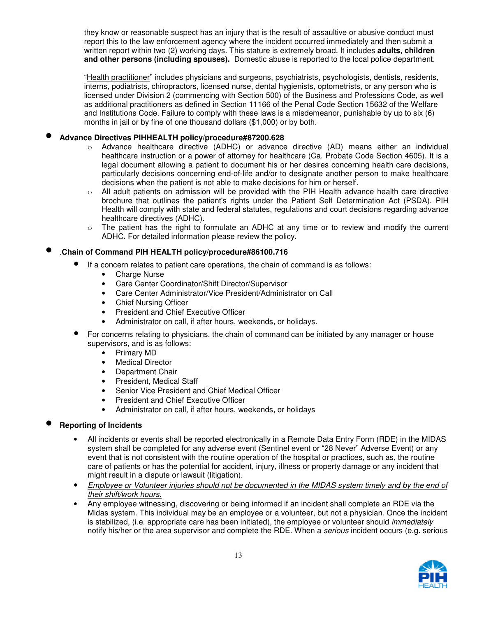they know or reasonable suspect has an injury that is the result of assaultive or abusive conduct must report this to the law enforcement agency where the incident occurred immediately and then submit a written report within two (2) working days. This stature is extremely broad. It includes **adults, children and other persons (including spouses).** Domestic abuse is reported to the local police department.

"Health practitioner" includes physicians and surgeons, psychiatrists, psychologists, dentists, residents, interns, podiatrists, chiropractors, licensed nurse, dental hygienists, optometrists, or any person who is licensed under Division 2 (commencing with Section 500) of the Business and Professions Code, as well as additional practitioners as defined in Section 11166 of the Penal Code Section 15632 of the Welfare and Institutions Code. Failure to comply with these laws is a misdemeanor, punishable by up to six (6) months in jail or by fine of one thousand dollars (\$1,000) or by both.

### • **Advance Directives PIHHEALTH policy/procedure#87200.628**

- o Advance healthcare directive (ADHC) or advance directive (AD) means either an individual healthcare instruction or a power of attorney for healthcare (Ca. Probate Code Section 4605). It is a legal document allowing a patient to document his or her desires concerning health care decisions, particularly decisions concerning end-of-life and/or to designate another person to make healthcare decisions when the patient is not able to make decisions for him or herself.
- o All adult patients on admission will be provided with the PIH Health advance health care directive brochure that outlines the patient's rights under the Patient Self Determination Act (PSDA). PIH Health will comply with state and federal statutes, regulations and court decisions regarding advance healthcare directives (ADHC).
- o The patient has the right to formulate an ADHC at any time or to review and modify the current ADHC. For detailed information please review the policy.

### • .**Chain of Command PIH HEALTH policy/procedure#86100.716**

- If a concern relates to patient care operations, the chain of command is as follows:
	- **Charge Nurse**
	- Care Center Coordinator/Shift Director/Supervisor
	- Care Center Administrator/Vice President/Administrator on Call
	- Chief Nursing Officer
	- President and Chief Executive Officer
	- Administrator on call, if after hours, weekends, or holidays.
- For concerns relating to physicians, the chain of command can be initiated by any manager or house supervisors, and is as follows:
	- Primary MD
	- Medical Director
	- Department Chair
	- President, Medical Staff
	- Senior Vice President and Chief Medical Officer
	- President and Chief Executive Officer
	- Administrator on call, if after hours, weekends, or holidays

### • **Reporting of Incidents**

- All incidents or events shall be reported electronically in a Remote Data Entry Form (RDE) in the MIDAS system shall be completed for any adverse event (Sentinel event or "28 Never" Adverse Event) or any event that is not consistent with the routine operation of the hospital or practices, such as, the routine care of patients or has the potential for accident, injury, illness or property damage or any incident that might result in a dispute or lawsuit (litigation).
- Employee or Volunteer injuries should not be documented in the MIDAS system timely and by the end of their shift/work hours.
- Any employee witnessing, discovering or being informed if an incident shall complete an RDE via the Midas system. This individual may be an employee or a volunteer, but not a physician. Once the incident is stabilized, (i.e. appropriate care has been initiated), the employee or volunteer should *immediately* notify his/her or the area supervisor and complete the RDE. When a serious incident occurs (e.g. serious

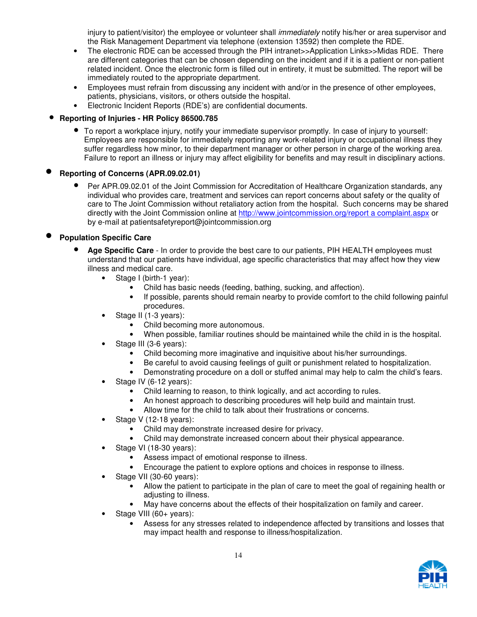injury to patient/visitor) the employee or volunteer shall *immediately* notify his/her or area supervisor and the Risk Management Department via telephone (extension 13592) then complete the RDE.

- The electronic RDE can be accessed through the PIH intranet>>Application Links>>Midas RDE. There are different categories that can be chosen depending on the incident and if it is a patient or non-patient related incident. Once the electronic form is filled out in entirety, it must be submitted. The report will be immediately routed to the appropriate department.
- Employees must refrain from discussing any incident with and/or in the presence of other employees, patients, physicians, visitors, or others outside the hospital.
- Electronic Incident Reports (RDE's) are confidential documents.

### • **Reporting of Injuries - HR Policy 86500.785**

• To report a workplace injury, notify your immediate supervisor promptly. In case of injury to yourself: Employees are responsible for immediately reporting any work-related injury or occupational illness they suffer regardless how minor, to their department manager or other person in charge of the working area. Failure to report an illness or injury may affect eligibility for benefits and may result in disciplinary actions.

### • **Reporting of Concerns (APR.09.02.01)**

• Per APR.09.02.01 of the Joint Commission for Accreditation of Healthcare Organization standards, any individual who provides care, treatment and services can report concerns about safety or the quality of care to The Joint Commission without retaliatory action from the hospital. Such concerns may be shared directly with the Joint Commission online at http://www.jointcommission.org/report a complaint.aspx or by e-mail at patientsafetyreport@jointcommission.org

### • **Population Specific Care**

- **Age Specific Care** In order to provide the best care to our patients, PIH HEALTH employees must understand that our patients have individual, age specific characteristics that may affect how they view illness and medical care.
	- Stage I (birth-1 year):
		- Child has basic needs (feeding, bathing, sucking, and affection).
		- If possible, parents should remain nearby to provide comfort to the child following painful procedures.
	- Stage II (1-3 years):
		- Child becoming more autonomous.
		- When possible, familiar routines should be maintained while the child in is the hospital.
	- Stage III (3-6 years):
		- Child becoming more imaginative and inquisitive about his/her surroundings.
		- Be careful to avoid causing feelings of guilt or punishment related to hospitalization.
		- Demonstrating procedure on a doll or stuffed animal may help to calm the child's fears.
	- Stage IV (6-12 years):
		- Child learning to reason, to think logically, and act according to rules.
		- An honest approach to describing procedures will help build and maintain trust.
		- Allow time for the child to talk about their frustrations or concerns.
	- Stage V (12-18 years):
		- Child may demonstrate increased desire for privacy.
		- Child may demonstrate increased concern about their physical appearance.
	- Stage VI (18-30 years):
		- Assess impact of emotional response to illness.
		- Encourage the patient to explore options and choices in response to illness.
	- Stage VII (30-60 years):
		- Allow the patient to participate in the plan of care to meet the goal of regaining health or adjusting to illness.
		- May have concerns about the effects of their hospitalization on family and career.
	- Stage VIII (60+ years):
		- Assess for any stresses related to independence affected by transitions and losses that may impact health and response to illness/hospitalization.

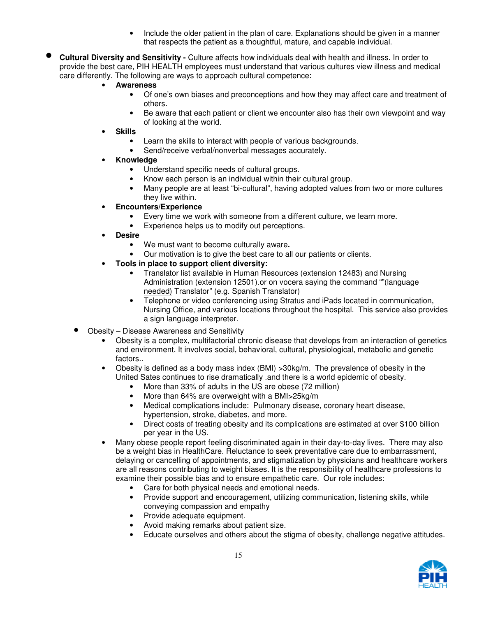- Include the older patient in the plan of care. Explanations should be given in a manner that respects the patient as a thoughtful, mature, and capable individual.
- **Cultural Diversity and Sensitivity** Culture affects how individuals deal with health and illness. In order to provide the best care, PIH HEALTH employees must understand that various cultures view illness and medical care differently. The following are ways to approach cultural competence:
	- **Awareness** 
		- Of one's own biases and preconceptions and how they may affect care and treatment of others.
		- Be aware that each patient or client we encounter also has their own viewpoint and way of looking at the world.
	- **Skills** 
		- Learn the skills to interact with people of various backgrounds.
		- Send/receive verbal/nonverbal messages accurately.
	- **Knowledge** 
		- Understand specific needs of cultural groups.
		- Know each person is an individual within their cultural group.
		- Many people are at least "bi-cultural", having adopted values from two or more cultures they live within.
	- **Encounters/Experience** 
		- Every time we work with someone from a different culture, we learn more.
		- Experience helps us to modify out perceptions.
	- **Desire** 
		- We must want to become culturally aware**.**
		- Our motivation is to give the best care to all our patients or clients.
	- **Tools in place to support client diversity:** 
		- Translator list available in Human Resources (extension 12483) and Nursing Administration (extension 12501).or on vocera saying the command ""(language needed) Translator" (e.g. Spanish Translator)
		- Telephone or video conferencing using Stratus and iPads located in communication, Nursing Office, and various locations throughout the hospital. This service also provides a sign language interpreter.
	- Obesity Disease Awareness and Sensitivity
		- Obesity is a complex, multifactorial chronic disease that develops from an interaction of genetics and environment. It involves social, behavioral, cultural, physiological, metabolic and genetic factors..
		- Obesity is defined as a body mass index (BMI) >30kg/m. The prevalence of obesity in the United Sates continues to rise dramatically .and there is a world epidemic of obesity.
			- More than 33% of adults in the US are obese (72 million)
			- More than 64% are overweight with a BMI>25kg/m
			- Medical complications include: Pulmonary disease, coronary heart disease, hypertension, stroke, diabetes, and more.
			- Direct costs of treating obesity and its complications are estimated at over \$100 billion per year in the US.
		- Many obese people report feeling discriminated again in their day-to-day lives. There may also be a weight bias in HealthCare. Reluctance to seek preventative care due to embarrassment, delaying or cancelling of appointments, and stigmatization by physicians and healthcare workers are all reasons contributing to weight biases. It is the responsibility of healthcare professions to examine their possible bias and to ensure empathetic care. Our role includes:
			- Care for both physical needs and emotional needs.
			- Provide support and encouragement, utilizing communication, listening skills, while conveying compassion and empathy
			- Provide adequate equipment.
			- Avoid making remarks about patient size.
			- Educate ourselves and others about the stigma of obesity, challenge negative attitudes.

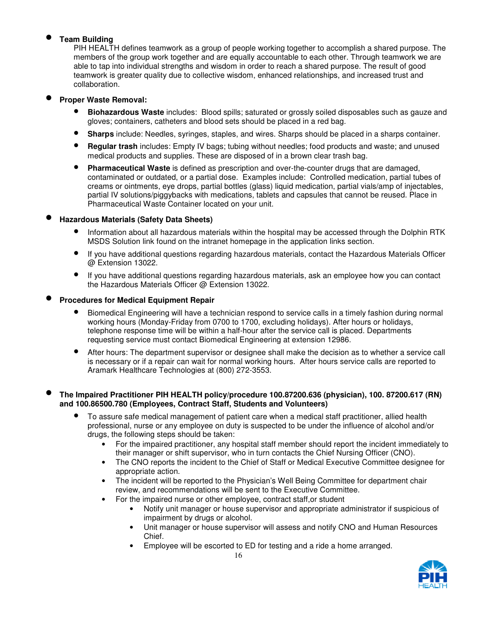### • **Team Building**

PIH HEALTH defines teamwork as a group of people working together to accomplish a shared purpose. The members of the group work together and are equally accountable to each other. Through teamwork we are able to tap into individual strengths and wisdom in order to reach a shared purpose. The result of good teamwork is greater quality due to collective wisdom, enhanced relationships, and increased trust and collaboration.

### • **Proper Waste Removal:**

- **Biohazardous Waste** includes: Blood spills; saturated or grossly soiled disposables such as gauze and gloves; containers, catheters and blood sets should be placed in a red bag.
- **Sharps** include: Needles, syringes, staples, and wires. Sharps should be placed in a sharps container.
- **Regular trash** includes: Empty IV bags; tubing without needles; food products and waste; and unused medical products and supplies. These are disposed of in a brown clear trash bag.
- **Pharmaceutical Waste** is defined as prescription and over-the-counter drugs that are damaged, contaminated or outdated, or a partial dose. Examples include: Controlled medication, partial tubes of creams or ointments, eye drops, partial bottles (glass) liquid medication, partial vials/amp of injectables, partial IV solutions/piggybacks with medications, tablets and capsules that cannot be reused. Place in Pharmaceutical Waste Container located on your unit.

### • **Hazardous Materials (Safety Data Sheets)**

- Information about all hazardous materials within the hospital may be accessed through the Dolphin RTK MSDS Solution link found on the intranet homepage in the application links section.
- If you have additional questions regarding hazardous materials, contact the Hazardous Materials Officer @ Extension 13022.
- If you have additional questions regarding hazardous materials, ask an employee how you can contact the Hazardous Materials Officer @ Extension 13022.

### • **Procedures for Medical Equipment Repair**

- Biomedical Engineering will have a technician respond to service calls in a timely fashion during normal working hours (Monday-Friday from 0700 to 1700, excluding holidays). After hours or holidays, telephone response time will be within a half-hour after the service call is placed. Departments requesting service must contact Biomedical Engineering at extension 12986.
- After hours: The department supervisor or designee shall make the decision as to whether a service call is necessary or if a repair can wait for normal working hours. After hours service calls are reported to Aramark Healthcare Technologies at (800) 272-3553.

### • **The Impaired Practitioner PIH HEALTH policy/procedure 100.87200.636 (physician), 100. 87200.617 (RN) and 100.86500.780 (Employees, Contract Staff, Students and Volunteers)**

- To assure safe medical management of patient care when a medical staff practitioner, allied health professional, nurse or any employee on duty is suspected to be under the influence of alcohol and/or drugs, the following steps should be taken:
	- For the impaired practitioner, any hospital staff member should report the incident immediately to their manager or shift supervisor, who in turn contacts the Chief Nursing Officer (CNO).
	- The CNO reports the incident to the Chief of Staff or Medical Executive Committee designee for appropriate action.
	- The incident will be reported to the Physician's Well Being Committee for department chair review, and recommendations will be sent to the Executive Committee.
	- For the impaired nurse or other employee, contract staff,or student
		- Notify unit manager or house supervisor and appropriate administrator if suspicious of impairment by drugs or alcohol.
		- Unit manager or house supervisor will assess and notify CNO and Human Resources Chief.
		- Employee will be escorted to ED for testing and a ride a home arranged.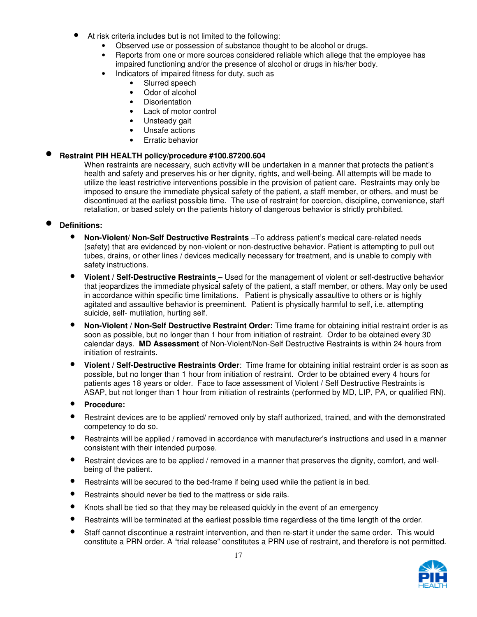- At risk criteria includes but is not limited to the following:
	- Observed use or possession of substance thought to be alcohol or drugs.
	- Reports from one or more sources considered reliable which allege that the employee has impaired functioning and/or the presence of alcohol or drugs in his/her body.
	- Indicators of impaired fitness for duty, such as
		- Slurred speech
		- Odor of alcohol
		- Disorientation
		- Lack of motor control
		- Unsteady gait
		- Unsafe actions
		- Erratic behavior

### • **Restraint PIH HEALTH policy/procedure #100.87200.604**

When restraints are necessary, such activity will be undertaken in a manner that protects the patient's health and safety and preserves his or her dignity, rights, and well-being. All attempts will be made to utilize the least restrictive interventions possible in the provision of patient care. Restraints may only be imposed to ensure the immediate physical safety of the patient, a staff member, or others, and must be discontinued at the earliest possible time. The use of restraint for coercion, discipline, convenience, staff retaliation, or based solely on the patients history of dangerous behavior is strictly prohibited.

### • **Definitions:**

- **Non-Violent/ Non-Self Destructive Restraints** –To address patient's medical care-related needs (safety) that are evidenced by non-violent or non-destructive behavior. Patient is attempting to pull out tubes, drains, or other lines / devices medically necessary for treatment, and is unable to comply with safety instructions.
- **Violent / Self-Destructive Restraints** Used for the management of violent or self-destructive behavior that jeopardizes the immediate physical safety of the patient, a staff member, or others. May only be used in accordance within specific time limitations. Patient is physically assaultive to others or is highly agitated and assaultive behavior is preeminent. Patient is physically harmful to self, i.e. attempting suicide, self- mutilation, hurting self.
- **Non-Violent / Non-Self Destructive Restraint Order:** Time frame for obtaining initial restraint order is as soon as possible, but no longer than 1 hour from initiation of restraint. Order to be obtained every 30 calendar days. **MD Assessment** of Non-Violent/Non-Self Destructive Restraints is within 24 hours from initiation of restraints.
- **Violent / Self-Destructive Restraints Order**: Time frame for obtaining initial restraint order is as soon as possible, but no longer than 1 hour from initiation of restraint. Order to be obtained every 4 hours for patients ages 18 years or older. Face to face assessment of Violent / Self Destructive Restraints is ASAP, but not longer than 1 hour from initiation of restraints (performed by MD, LIP, PA, or qualified RN).
- **Procedure:**
- Restraint devices are to be applied/ removed only by staff authorized, trained, and with the demonstrated competency to do so.
- Restraints will be applied / removed in accordance with manufacturer's instructions and used in a manner consistent with their intended purpose.
- Restraint devices are to be applied / removed in a manner that preserves the dignity, comfort, and wellbeing of the patient.
- Restraints will be secured to the bed-frame if being used while the patient is in bed.
- Restraints should never be tied to the mattress or side rails.
- Knots shall be tied so that they may be released quickly in the event of an emergency
- Restraints will be terminated at the earliest possible time regardless of the time length of the order.
- Staff cannot discontinue a restraint intervention, and then re-start it under the same order. This would constitute a PRN order. A "trial release" constitutes a PRN use of restraint, and therefore is not permitted.

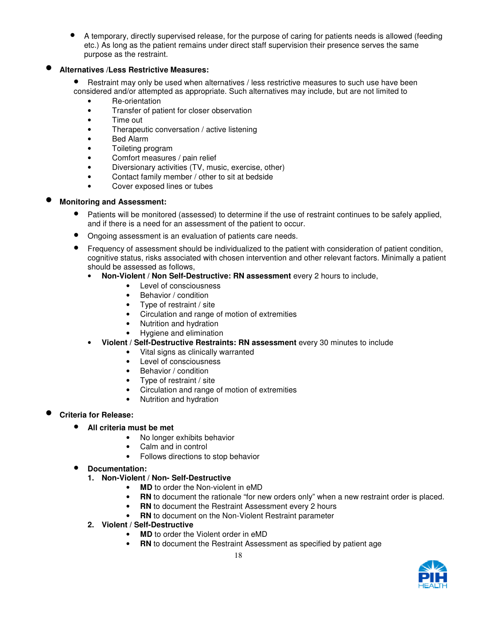• A temporary, directly supervised release, for the purpose of caring for patients needs is allowed (feeding etc.) As long as the patient remains under direct staff supervision their presence serves the same purpose as the restraint.

### • **Alternatives /Less Restrictive Measures:**

• Restraint may only be used when alternatives / less restrictive measures to such use have been considered and/or attempted as appropriate. Such alternatives may include, but are not limited to

- Re-orientation
- Transfer of patient for closer observation
- Time out
- Therapeutic conversation / active listening
- Bed Alarm
- Toileting program
- Comfort measures / pain relief
- Diversionary activities (TV, music, exercise, other)
- Contact family member / other to sit at bedside
- Cover exposed lines or tubes

### • **Monitoring and Assessment:**

- Patients will be monitored (assessed) to determine if the use of restraint continues to be safely applied, and if there is a need for an assessment of the patient to occur.
- Ongoing assessment is an evaluation of patients care needs.
- Frequency of assessment should be individualized to the patient with consideration of patient condition, cognitive status, risks associated with chosen intervention and other relevant factors. Minimally a patient should be assessed as follows,
	- **Non-Violent / Non Self-Destructive: RN assessment** every 2 hours to include,
		- Level of consciousness
		- Behavior / condition
		- Type of restraint / site
		- Circulation and range of motion of extremities
		- Nutrition and hydration
		- Hygiene and elimination
	- **Violent / Self-Destructive Restraints: RN assessment** every 30 minutes to include
		- Vital signs as clinically warranted
		- Level of consciousness
		- Behavior / condition
		- Type of restraint / site
		- Circulation and range of motion of extremities
		- Nutrition and hydration

### • **Criteria for Release:**

- **All criteria must be met** 
	- No longer exhibits behavior
	- Calm and in control
	- Follows directions to stop behavior
- **Documentation:** 
	- **1. Non-Violent / Non- Self-Destructive** 
		- **MD** to order the Non-violent in eMD
		- **RN** to document the rationale "for new orders only" when a new restraint order is placed.
			- **RN** to document the Restraint Assessment every 2 hours
		- **RN** to document on the Non-Violent Restraint parameter
	- **2. Violent / Self-Destructive** 
		- **MD** to order the Violent order in eMD
		- **RN** to document the Restraint Assessment as specified by patient age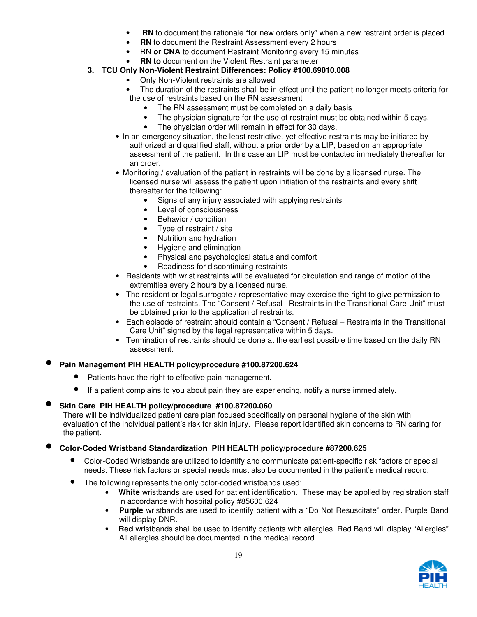- **RN** to document the rationale "for new orders only" when a new restraint order is placed.
- **RN** to document the Restraint Assessment every 2 hours
- RN **or CNA** to document Restraint Monitoring every 15 minutes
- **RN to** document on the Violent Restraint parameter
- **3. TCU Only Non-Violent Restraint Differences: Policy #100.69010.008** 
	- Only Non-Violent restraints are allowed
	- The duration of the restraints shall be in effect until the patient no longer meets criteria for the use of restraints based on the RN assessment
		- The RN assessment must be completed on a daily basis
		- The physician signature for the use of restraint must be obtained within 5 days.
		- The physician order will remain in effect for 30 days.
	- In an emergency situation, the least restrictive, yet effective restraints may be initiated by authorized and qualified staff, without a prior order by a LIP, based on an appropriate assessment of the patient. In this case an LIP must be contacted immediately thereafter for an order.
	- Monitoring / evaluation of the patient in restraints will be done by a licensed nurse. The licensed nurse will assess the patient upon initiation of the restraints and every shift thereafter for the following:
		- Signs of any injury associated with applying restraints
		- Level of consciousness
		- Behavior / condition
		- Type of restraint / site
		- Nutrition and hydration
		- Hygiene and elimination
		- Physical and psychological status and comfort
		- Readiness for discontinuing restraints
	- Residents with wrist restraints will be evaluated for circulation and range of motion of the extremities every 2 hours by a licensed nurse.
	- The resident or legal surrogate / representative may exercise the right to give permission to the use of restraints. The "Consent / Refusal –Restraints in the Transitional Care Unit" must be obtained prior to the application of restraints.
	- Each episode of restraint should contain a "Consent / Refusal Restraints in the Transitional Care Unit" signed by the legal representative within 5 days.
	- Termination of restraints should be done at the earliest possible time based on the daily RN assessment.

### • **Pain Management PIH HEALTH policy/procedure #100.87200.624**

- Patients have the right to effective pain management.
- If a patient complains to you about pain they are experiencing, notify a nurse immediately.

### • **Skin Care PIH HEALTH policy/procedure #100.87200.060**

There will be individualized patient care plan focused specifically on personal hygiene of the skin with evaluation of the individual patient's risk for skin injury. Please report identified skin concerns to RN caring for the patient.

### • **Color-Coded Wristband Standardization PIH HEALTH policy/procedure #87200.625**

- Color-Coded Wristbands are utilized to identify and communicate patient-specific risk factors or special needs. These risk factors or special needs must also be documented in the patient's medical record.
- The following represents the only color-coded wristbands used:
	- • **White** wristbands are used for patient identification. These may be applied by registration staff in accordance with hospital policy #85600.624
	- **Purple** wristbands are used to identify patient with a "Do Not Resuscitate" order. Purple Band will display DNR.
	- Red wristbands shall be used to identify patients with allergies. Red Band will display "Allergies" All allergies should be documented in the medical record.

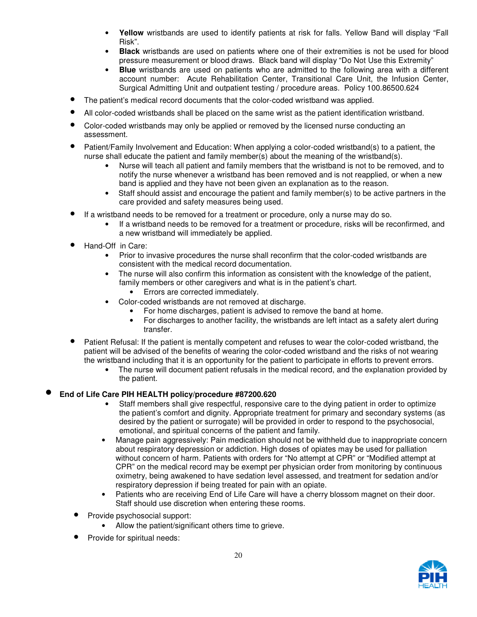- **Yellow** wristbands are used to identify patients at risk for falls. Yellow Band will display "Fall Risk".
- **Black** wristbands are used on patients where one of their extremities is not be used for blood pressure measurement or blood draws. Black band will display "Do Not Use this Extremity"
- **Blue** wristbands are used on patients who are admitted to the following area with a different account number: Acute Rehabilitation Center, Transitional Care Unit, the Infusion Center, Surgical Admitting Unit and outpatient testing / procedure areas. Policy 100.86500.624
- The patient's medical record documents that the color-coded wristband was applied.
- All color-coded wristbands shall be placed on the same wrist as the patient identification wristband.
- Color-coded wristbands may only be applied or removed by the licensed nurse conducting an assessment.
- Patient/Family Involvement and Education: When applying a color-coded wristband(s) to a patient, the nurse shall educate the patient and family member(s) about the meaning of the wristband(s).
	- Nurse will teach all patient and family members that the wristband is not to be removed, and to notify the nurse whenever a wristband has been removed and is not reapplied, or when a new band is applied and they have not been given an explanation as to the reason.
	- Staff should assist and encourage the patient and family member(s) to be active partners in the care provided and safety measures being used.
- If a wristband needs to be removed for a treatment or procedure, only a nurse may do so.
	- If a wristband needs to be removed for a treatment or procedure, risks will be reconfirmed, and a new wristband will immediately be applied.
- Hand-Off in Care:
	- Prior to invasive procedures the nurse shall reconfirm that the color-coded wristbands are consistent with the medical record documentation.
	- The nurse will also confirm this information as consistent with the knowledge of the patient, family members or other caregivers and what is in the patient's chart.
		- Errors are corrected immediately.
	- Color-coded wristbands are not removed at discharge.
		- For home discharges, patient is advised to remove the band at home.
		- For discharges to another facility, the wristbands are left intact as a safety alert during transfer.
- Patient Refusal: If the patient is mentally competent and refuses to wear the color-coded wristband, the patient will be advised of the benefits of wearing the color-coded wristband and the risks of not wearing the wristband including that it is an opportunity for the patient to participate in efforts to prevent errors.
	- The nurse will document patient refusals in the medical record, and the explanation provided by the patient.

### • **End of Life Care PIH HEALTH policy/procedure #87200.620**

- Staff members shall give respectful, responsive care to the dying patient in order to optimize the patient's comfort and dignity. Appropriate treatment for primary and secondary systems (as desired by the patient or surrogate) will be provided in order to respond to the psychosocial, emotional, and spiritual concerns of the patient and family.
- Manage pain aggressively: Pain medication should not be withheld due to inappropriate concern about respiratory depression or addiction. High doses of opiates may be used for palliation without concern of harm. Patients with orders for "No attempt at CPR" or "Modified attempt at CPR" on the medical record may be exempt per physician order from monitoring by continuous oximetry, being awakened to have sedation level assessed, and treatment for sedation and/or respiratory depression if being treated for pain with an opiate.
- Patients who are receiving End of Life Care will have a cherry blossom magnet on their door. Staff should use discretion when entering these rooms.
- Provide psychosocial support:
	- Allow the patient/significant others time to grieve.
- Provide for spiritual needs:

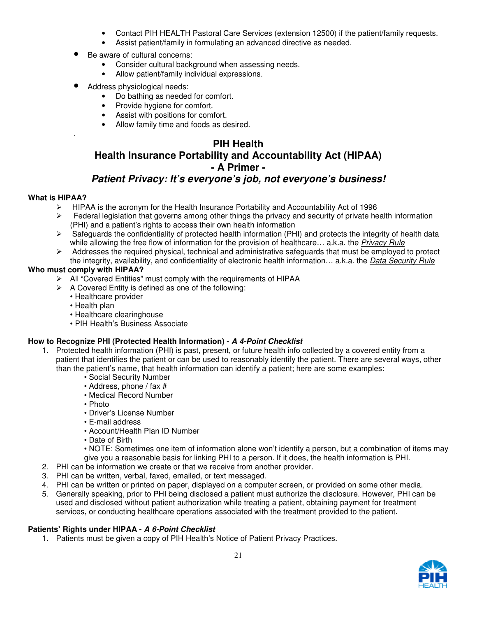- Contact PIH HEALTH Pastoral Care Services (extension 12500) if the patient/family requests.
- Assist patient/family in formulating an advanced directive as needed.
- Be aware of cultural concerns:
	- Consider cultural background when assessing needs.
	- Allow patient/family individual expressions.
- Address physiological needs:
	- Do bathing as needed for comfort.
	- Provide hygiene for comfort.
	- Assist with positions for comfort.
	- Allow family time and foods as desired.

## **PIH Health**

# **Health Insurance Portability and Accountability Act (HIPAA) - A Primer -**

# **Patient Privacy: It's everyone's job, not everyone's business!**

### **What is HIPAA?**

.

- $\triangleright$  HIPAA is the acronym for the Health Insurance Portability and Accountability Act of 1996
- $\triangleright$  Federal legislation that governs among other things the privacy and security of private health information (PHI) and a patient's rights to access their own health information
- $\triangleright$  Safeguards the confidentiality of protected health information (PHI) and protects the integrity of health data while allowing the free flow of information for the provision of healthcare... a.k.a. the Privacy Rule
- $\triangleright$  Addresses the required physical, technical and administrative safeguards that must be employed to protect the integrity, availability, and confidentiality of electronic health information... a.k.a. the Data Security Rule

### **Who must comply with HIPAA?**

- All "Covered Entities" must comply with the requirements of HIPAA
- $\triangleright$  A Covered Entity is defined as one of the following:
	- Healthcare provider
	- Health plan
	- Healthcare clearinghouse
	- PIH Health's Business Associate

### **How to Recognize PHI (Protected Health Information) - A 4-Point Checklist**

- 1. Protected health information (PHI) is past, present, or future health info collected by a covered entity from a patient that identifies the patient or can be used to reasonably identify the patient. There are several ways, other than the patient's name, that health information can identify a patient; here are some examples:
	- Social Security Number
	- Address, phone / fax #
	- Medical Record Number
	- Photo
	- Driver's License Number
	- E-mail address
	- Account/Health Plan ID Number
	- Date of Birth
	- NOTE: Sometimes one item of information alone won't identify a person, but a combination of items may give you a reasonable basis for linking PHI to a person. If it does, the health information is PHI.
- 2. PHI can be information we create or that we receive from another provider.
- 3. PHI can be written, verbal, faxed, emailed, or text messaged.
- 4. PHI can be written or printed on paper, displayed on a computer screen, or provided on some other media.
- 5. Generally speaking, prior to PHI being disclosed a patient must authorize the disclosure. However, PHI can be used and disclosed without patient authorization while treating a patient, obtaining payment for treatment services, or conducting healthcare operations associated with the treatment provided to the patient.

### **Patients' Rights under HIPAA - A 6-Point Checklist**

1. Patients must be given a copy of PIH Health's Notice of Patient Privacy Practices.

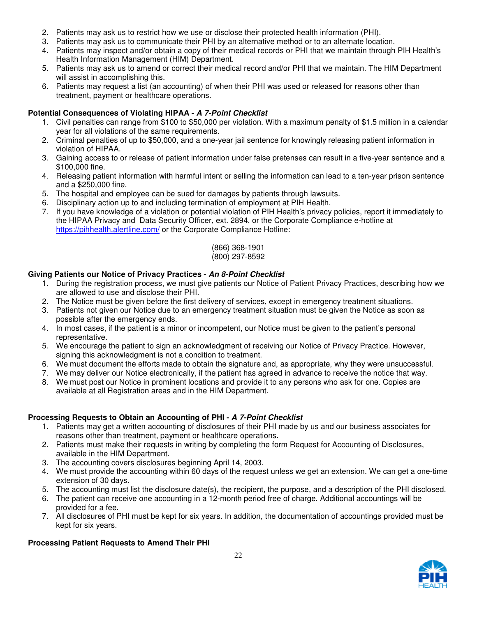- 2. Patients may ask us to restrict how we use or disclose their protected health information (PHI).
- 3. Patients may ask us to communicate their PHI by an alternative method or to an alternate location.
- 4. Patients may inspect and/or obtain a copy of their medical records or PHI that we maintain through PIH Health's Health Information Management (HIM) Department.
- 5. Patients may ask us to amend or correct their medical record and/or PHI that we maintain. The HIM Department will assist in accomplishing this.
- 6. Patients may request a list (an accounting) of when their PHI was used or released for reasons other than treatment, payment or healthcare operations.

### **Potential Consequences of Violating HIPAA - A 7-Point Checklist**

- 1. Civil penalties can range from \$100 to \$50,000 per violation. With a maximum penalty of \$1.5 million in a calendar year for all violations of the same requirements.
- 2. Criminal penalties of up to \$50,000, and a one-year jail sentence for knowingly releasing patient information in violation of HIPAA.
- 3. Gaining access to or release of patient information under false pretenses can result in a five-year sentence and a \$100,000 fine.
- 4. Releasing patient information with harmful intent or selling the information can lead to a ten-year prison sentence and a \$250,000 fine.
- 5. The hospital and employee can be sued for damages by patients through lawsuits.
- 6. Disciplinary action up to and including termination of employment at PIH Health.
- 7. If you have knowledge of a violation or potential violation of PIH Health's privacy policies, report it immediately to the HIPAA Privacy and Data Security Officer, ext. 2894, or the Corporate Compliance e-hotline at https://pihhealth.alertline.com/ or the Corporate Compliance Hotline:

#### (866) 368-1901 (800) 297-8592

### **Giving Patients our Notice of Privacy Practices - An 8-Point Checklist**

- 1. During the registration process, we must give patients our Notice of Patient Privacy Practices, describing how we are allowed to use and disclose their PHI.
- 2. The Notice must be given before the first delivery of services, except in emergency treatment situations.
- 3. Patients not given our Notice due to an emergency treatment situation must be given the Notice as soon as possible after the emergency ends.
- 4. In most cases, if the patient is a minor or incompetent, our Notice must be given to the patient's personal representative.
- 5. We encourage the patient to sign an acknowledgment of receiving our Notice of Privacy Practice. However, signing this acknowledgment is not a condition to treatment.
- 6. We must document the efforts made to obtain the signature and, as appropriate, why they were unsuccessful.
- 7. We may deliver our Notice electronically, if the patient has agreed in advance to receive the notice that way.
- 8. We must post our Notice in prominent locations and provide it to any persons who ask for one. Copies are available at all Registration areas and in the HIM Department.

### **Processing Requests to Obtain an Accounting of PHI - A 7-Point Checklist**

- 1. Patients may get a written accounting of disclosures of their PHI made by us and our business associates for reasons other than treatment, payment or healthcare operations.
- 2. Patients must make their requests in writing by completing the form Request for Accounting of Disclosures, available in the HIM Department.
- 3. The accounting covers disclosures beginning April 14, 2003.
- 4. We must provide the accounting within 60 days of the request unless we get an extension. We can get a one-time extension of 30 days.
- 5. The accounting must list the disclosure date(s), the recipient, the purpose, and a description of the PHI disclosed.
- 6. The patient can receive one accounting in a 12-month period free of charge. Additional accountings will be provided for a fee.
- 7. All disclosures of PHI must be kept for six years. In addition, the documentation of accountings provided must be kept for six years.

### **Processing Patient Requests to Amend Their PHI**

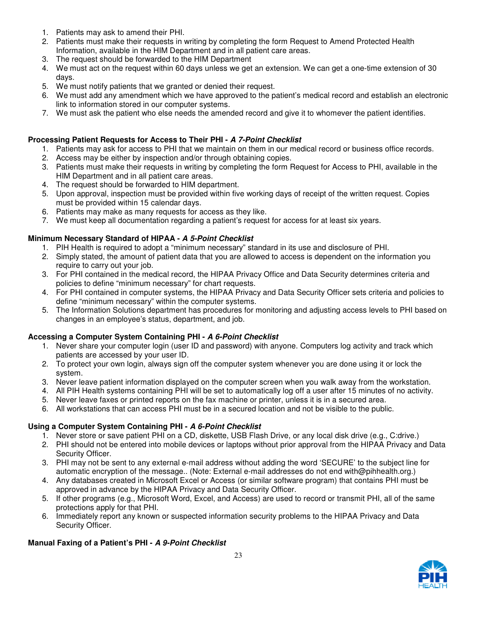- 1. Patients may ask to amend their PHI.
- 2. Patients must make their requests in writing by completing the form Request to Amend Protected Health Information, available in the HIM Department and in all patient care areas.
- 3. The request should be forwarded to the HIM Department
- 4. We must act on the request within 60 days unless we get an extension. We can get a one-time extension of 30 days.
- 5. We must notify patients that we granted or denied their request.
- 6. We must add any amendment which we have approved to the patient's medical record and establish an electronic link to information stored in our computer systems.
- 7. We must ask the patient who else needs the amended record and give it to whomever the patient identifies.

### **Processing Patient Requests for Access to Their PHI - A 7-Point Checklist**

- 1. Patients may ask for access to PHI that we maintain on them in our medical record or business office records.
- 2. Access may be either by inspection and/or through obtaining copies.
- 3. Patients must make their requests in writing by completing the form Request for Access to PHI, available in the HIM Department and in all patient care areas.
- 4. The request should be forwarded to HIM department.
- 5. Upon approval, inspection must be provided within five working days of receipt of the written request. Copies must be provided within 15 calendar days.
- 6. Patients may make as many requests for access as they like.
- 7. We must keep all documentation regarding a patient's request for access for at least six years.

### **Minimum Necessary Standard of HIPAA - A 5-Point Checklist**

- 1. PIH Health is required to adopt a "minimum necessary" standard in its use and disclosure of PHI.
- 2. Simply stated, the amount of patient data that you are allowed to access is dependent on the information you require to carry out your job.
- 3. For PHI contained in the medical record, the HIPAA Privacy Office and Data Security determines criteria and policies to define "minimum necessary" for chart requests.
- 4. For PHI contained in computer systems, the HIPAA Privacy and Data Security Officer sets criteria and policies to define "minimum necessary" within the computer systems.
- 5. The Information Solutions department has procedures for monitoring and adjusting access levels to PHI based on changes in an employee's status, department, and job.

### **Accessing a Computer System Containing PHI - A 6-Point Checklist**

- 1. Never share your computer login (user ID and password) with anyone. Computers log activity and track which patients are accessed by your user ID.
- 2. To protect your own login, always sign off the computer system whenever you are done using it or lock the system.
- 3. Never leave patient information displayed on the computer screen when you walk away from the workstation.
- 4. All PIH Health systems containing PHI will be set to automatically log off a user after 15 minutes of no activity.
- 5. Never leave faxes or printed reports on the fax machine or printer, unless it is in a secured area.
- 6. All workstations that can access PHI must be in a secured location and not be visible to the public.

### **Using a Computer System Containing PHI - A 6-Point Checklist**

- 1. Never store or save patient PHI on a CD, diskette, USB Flash Drive, or any local disk drive (e.g., C:drive.)
- 2. PHI should not be entered into mobile devices or laptops without prior approval from the HIPAA Privacy and Data Security Officer.
- 3. PHI may not be sent to any external e-mail address without adding the word 'SECURE' to the subject line for automatic encryption of the message.. (Note: External e-mail addresses do not end with@pihhealth.org.)
- 4. Any databases created in Microsoft Excel or Access (or similar software program) that contains PHI must be approved in advance by the HIPAA Privacy and Data Security Officer.
- 5. If other programs (e.g., Microsoft Word, Excel, and Access) are used to record or transmit PHI, all of the same protections apply for that PHI.
- 6. Immediately report any known or suspected information security problems to the HIPAA Privacy and Data Security Officer.

### **Manual Faxing of a Patient's PHI - A 9-Point Checklist**